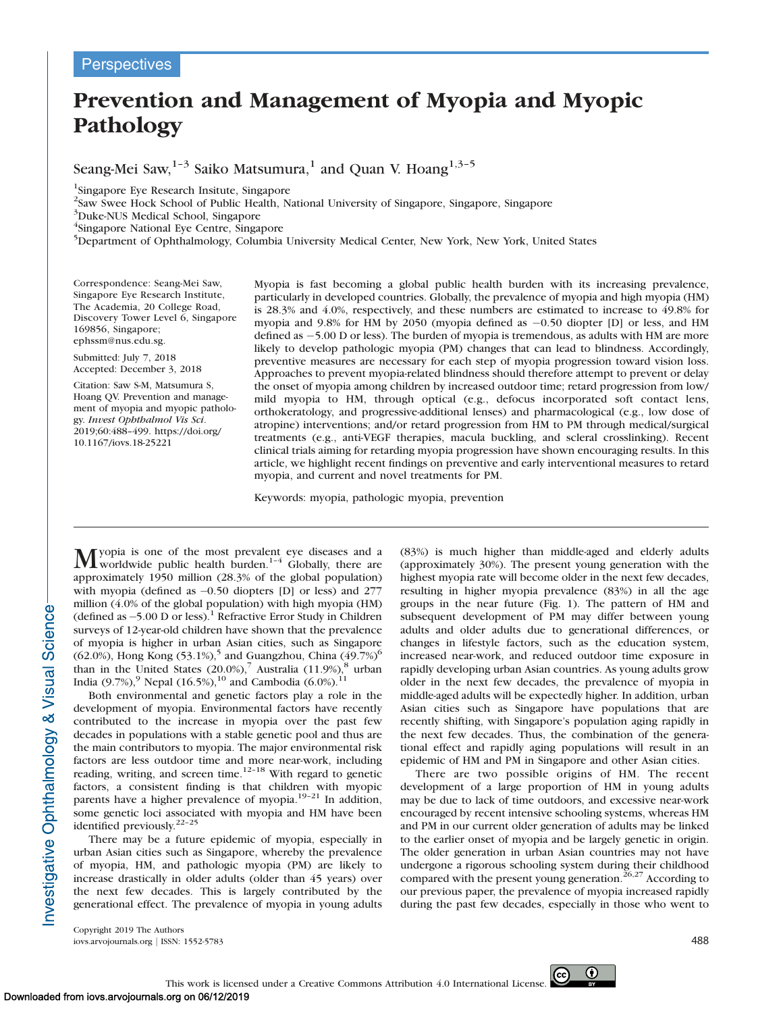# Prevention and Management of Myopia and Myopic Pathology

Seang-Mei Saw,<sup>1-3</sup> Saiko Matsumura,<sup>1</sup> and Quan V. Hoang<sup>1,3-5</sup>

<sup>1</sup>Singapore Eye Research Insitute, Singapore

<sup>2</sup>Saw Swee Hock School of Public Health, National University of Singapore, Singapore, Singapore

<sup>3</sup>Duke-NUS Medical School, Singapore

4 Singapore National Eye Centre, Singapore

<sup>5</sup>Department of Ophthalmology, Columbia University Medical Center, New York, New York, United States

Correspondence: Seang-Mei Saw, Singapore Eye Research Institute, The Academia, 20 College Road, Discovery Tower Level 6, Singapore 169856, Singapore; ephssm@nus.edu.sg.

Submitted: July 7, 2018 Accepted: December 3, 2018

Citation: Saw S-M, Matsumura S, Hoang QV. Prevention and management of myopia and myopic pathology. Invest Ophthalmol Vis Sci. 2019;60:488–499. https://doi.org/ 10.1167/iovs.18-25221

Myopia is fast becoming a global public health burden with its increasing prevalence, particularly in developed countries. Globally, the prevalence of myopia and high myopia (HM) is 28.3% and 4.0%, respectively, and these numbers are estimated to increase to 49.8% for myopia and 9.8% for HM by 2050 (myopia defined as -0.50 diopter [D] or less, and HM defined as -5.00 D or less). The burden of myopia is tremendous, as adults with HM are more likely to develop pathologic myopia (PM) changes that can lead to blindness. Accordingly, preventive measures are necessary for each step of myopia progression toward vision loss. Approaches to prevent myopia-related blindness should therefore attempt to prevent or delay the onset of myopia among children by increased outdoor time; retard progression from low/ mild myopia to HM, through optical (e.g., defocus incorporated soft contact lens, orthokeratology, and progressive-additional lenses) and pharmacological (e.g., low dose of atropine) interventions; and/or retard progression from HM to PM through medical/surgical treatments (e.g., anti-VEGF therapies, macula buckling, and scleral crosslinking). Recent clinical trials aiming for retarding myopia progression have shown encouraging results. In this article, we highlight recent findings on preventive and early interventional measures to retard myopia, and current and novel treatments for PM.

Keywords: myopia, pathologic myopia, prevention

M yopia is one of the most prevalent eye diseases and a worldwide public health burden.<sup>1-4</sup> Globally, there are approximately 1950 million (28.3% of the global population) with myopia (defined as -0.50 diopters [D] or less) and 277 million (4.0% of the global population) with high myopia (HM) (defined as -5.00 D or less).<sup>1</sup> Refractive Error Study in Children surveys of 12-year-old children have shown that the prevalence of myopia is higher in urban Asian cities, such as Singapore  $(62.0\%)$ , Hong Kong  $(53.1\%)$ <sup>5</sup> and Guangzhou, China  $(49.7\%)$ <sup>6</sup> than in the United States  $(20.0\%)$ , Australia  $(11.9\%)$ , aurban India (9.7%),<sup>9</sup> Nepal (16.5%),<sup>10</sup> and Cambodia (6.0%).<sup>11</sup>

Both environmental and genetic factors play a role in the development of myopia. Environmental factors have recently contributed to the increase in myopia over the past few decades in populations with a stable genetic pool and thus are the main contributors to myopia. The major environmental risk factors are less outdoor time and more near-work, including reading, writing, and screen time.<sup>12–18</sup> With regard to genetic factors, a consistent finding is that children with myopic parents have a higher prevalence of myopia.<sup>19-21</sup> In addition, some genetic loci associated with myopia and HM have been identified previously.<sup>22-25</sup>

There may be a future epidemic of myopia, especially in urban Asian cities such as Singapore, whereby the prevalence of myopia, HM, and pathologic myopia (PM) are likely to increase drastically in older adults (older than 45 years) over the next few decades. This is largely contributed by the generational effect. The prevalence of myopia in young adults (83%) is much higher than middle-aged and elderly adults (approximately 30%). The present young generation with the highest myopia rate will become older in the next few decades, resulting in higher myopia prevalence (83%) in all the age groups in the near future (Fig. 1). The pattern of HM and subsequent development of PM may differ between young adults and older adults due to generational differences, or changes in lifestyle factors, such as the education system, increased near-work, and reduced outdoor time exposure in rapidly developing urban Asian countries. As young adults grow older in the next few decades, the prevalence of myopia in middle-aged adults will be expectedly higher. In addition, urban Asian cities such as Singapore have populations that are recently shifting, with Singapore's population aging rapidly in the next few decades. Thus, the combination of the generational effect and rapidly aging populations will result in an epidemic of HM and PM in Singapore and other Asian cities.

There are two possible origins of HM. The recent development of a large proportion of HM in young adults may be due to lack of time outdoors, and excessive near-work encouraged by recent intensive schooling systems, whereas HM and PM in our current older generation of adults may be linked to the earlier onset of myopia and be largely genetic in origin. The older generation in urban Asian countries may not have undergone a rigorous schooling system during their childhood compared with the present young generation.<sup>26,27</sup> According to our previous paper, the prevalence of myopia increased rapidly during the past few decades, especially in those who went to

Copyright 2019 The Authors iovs.arvojournals.org j ISSN: 1552-5783 488

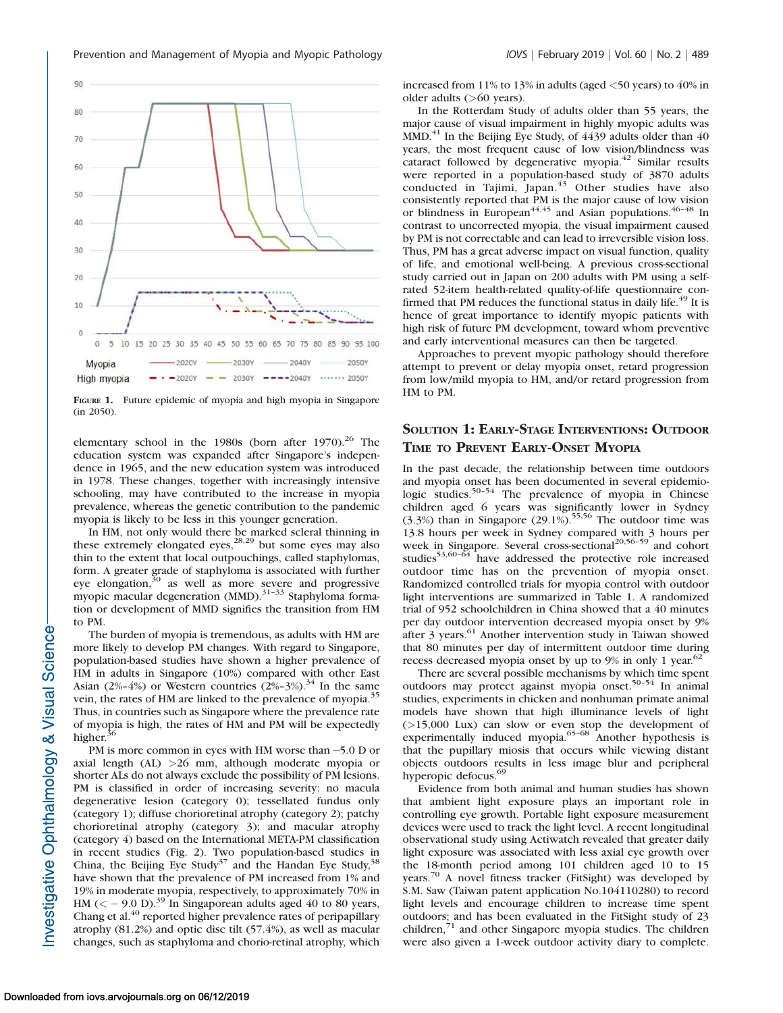

FIGURE 1. Future epidemic of myopia and high myopia in Singapore (in 2050).

elementary school in the 1980s (born after 1970).<sup>26</sup> The education system was expanded after Singapore's independence in 1965, and the new education system was introduced in 1978. These changes, together with increasingly intensive schooling, may have contributed to the increase in myopia prevalence, whereas the genetic contribution to the pandemic myopia is likely to be less in this younger generation.

In HM, not only would there be marked scleral thinning in these extremely elongated eyes,<sup>28,29</sup> but some eyes may also thin to the extent that local outpouchings, called staphylomas, form. A greater grade of staphyloma is associated with further eye elongation,<sup>30</sup> as well as more severe and progressive myopic macular degeneration (MMD). $31-33$  Staphyloma formation or development of MMD signifies the transition from HM to PM.

The burden of myopia is tremendous, as adults with HM are more likely to develop PM changes. With regard to Singapore, population-based studies have shown a higher prevalence of HM in adults in Singapore (10%) compared with other East Asian (2%–4%) or Western countries (2%–3%).<sup>34</sup> In the same vein, the rates of HM are linked to the prevalence of myopia.<sup>35</sup> Thus, in countries such as Singapore where the prevalence rate of myopia is high, the rates of HM and PM will be expectedly higher.<sup>3</sup>

PM is more common in eyes with HM worse than -5.0 D or axial length (AL) >26 mm, although moderate myopia or shorter ALs do not always exclude the possibility of PM lesions. PM is classified in order of increasing severity: no macula degenerative lesion (category 0); tessellated fundus only (category 1); diffuse chorioretinal atrophy (category 2); patchy chorioretinal atrophy (category 3); and macular atrophy (category 4) based on the International META-PM classification in recent studies (Fig. 2). Two population-based studies in China, the Beijing Eye Study<sup>37</sup> and the Handan Eye Study,  $38$ have shown that the prevalence of PM increased from 1% and 19% in moderate myopia, respectively, to approximately 70% in HM ( $\le$  - 9.0 D).<sup>39</sup> In Singaporean adults aged 40 to 80 years, Chang et al.<sup>40</sup> reported higher prevalence rates of peripapillary atrophy (81.2%) and optic disc tilt (57.4%), as well as macular changes, such as staphyloma and chorio-retinal atrophy, which

increased from 11% to 13% in adults (aged <50 years) to 40% in older adults (>60 years).

In the Rotterdam Study of adults older than 55 years, the major cause of visual impairment in highly myopic adults was  $MMD<sup>41</sup>$  In the Beijing Eye Study, of 4439 adults older than 40 years, the most frequent cause of low vision/blindness was cataract followed by degenerative myopia.<sup>42</sup> Similar results were reported in a population-based study of 3870 adults conducted in Tajimi, Japan.<sup>43</sup> Other studies have also consistently reported that PM is the major cause of low vision or blindness in European<sup>44,45</sup> and Asian populations.<sup>46–48</sup> In contrast to uncorrected myopia, the visual impairment caused by PM is not correctable and can lead to irreversible vision loss. Thus, PM has a great adverse impact on visual function, quality of life, and emotional well-being. A previous cross-sectional study carried out in Japan on 200 adults with PM using a selfrated 52-item health-related quality-of-life questionnaire confirmed that PM reduces the functional status in daily life.<sup>49</sup> It is hence of great importance to identify myopic patients with high risk of future PM development, toward whom preventive and early interventional measures can then be targeted.

Approaches to prevent myopic pathology should therefore attempt to prevent or delay myopia onset, retard progression from low/mild myopia to HM, and/or retard progression from HM to PM.

#### SOLUTION 1: EARLY-STAGE INTERVENTIONS: OUTDOOR TIME TO PREVENT EARLY-ONSET MYOPIA

In the past decade, the relationship between time outdoors and myopia onset has been documented in several epidemiologic studies.<sup>50-54</sup> The prevalence of myopia in Chinese children aged 6 years was significantly lower in Sydney  $(3.3\%)$  than in Singapore  $(29.1\%)$ .<sup>55,56</sup> The outdoor time was 13.8 hours per week in Sydney compared with 3 hours per week in Singapore. Several cross-sectional<sup>20,56–59</sup> and cohort studies<sup>53,60-64</sup> have addressed the protective role increased outdoor time has on the prevention of myopia onset. Randomized controlled trials for myopia control with outdoor light interventions are summarized in Table 1. A randomized trial of 952 schoolchildren in China showed that a 40 minutes per day outdoor intervention decreased myopia onset by 9% after 3 years.<sup>61</sup> Another intervention study in Taiwan showed that 80 minutes per day of intermittent outdoor time during recess decreased myopia onset by up to 9% in only 1 year.<sup>62</sup>

There are several possible mechanisms by which time spent outdoors may protect against myopia onset.<sup>50-54</sup> In animal studies, experiments in chicken and nonhuman primate animal models have shown that high illuminance levels of light (>15,000 Lux) can slow or even stop the development of experimentally induced myopia.<sup>65-68</sup> Another hypothesis is that the pupillary miosis that occurs while viewing distant objects outdoors results in less image blur and peripheral hyperopic defocus.<sup>69</sup>

Evidence from both animal and human studies has shown that ambient light exposure plays an important role in controlling eye growth. Portable light exposure measurement devices were used to track the light level. A recent longitudinal observational study using Actiwatch revealed that greater daily light exposure was associated with less axial eye growth over the 18-month period among 101 children aged 10 to 15 years.<sup>70</sup> A novel fitness tracker (FitSight) was developed by S.M. Saw (Taiwan patent application No.104110280) to record light levels and encourage children to increase time spent outdoors; and has been evaluated in the FitSight study of 23 children,<sup>71</sup> and other Singapore myopia studies. The children were also given a 1-week outdoor activity diary to complete.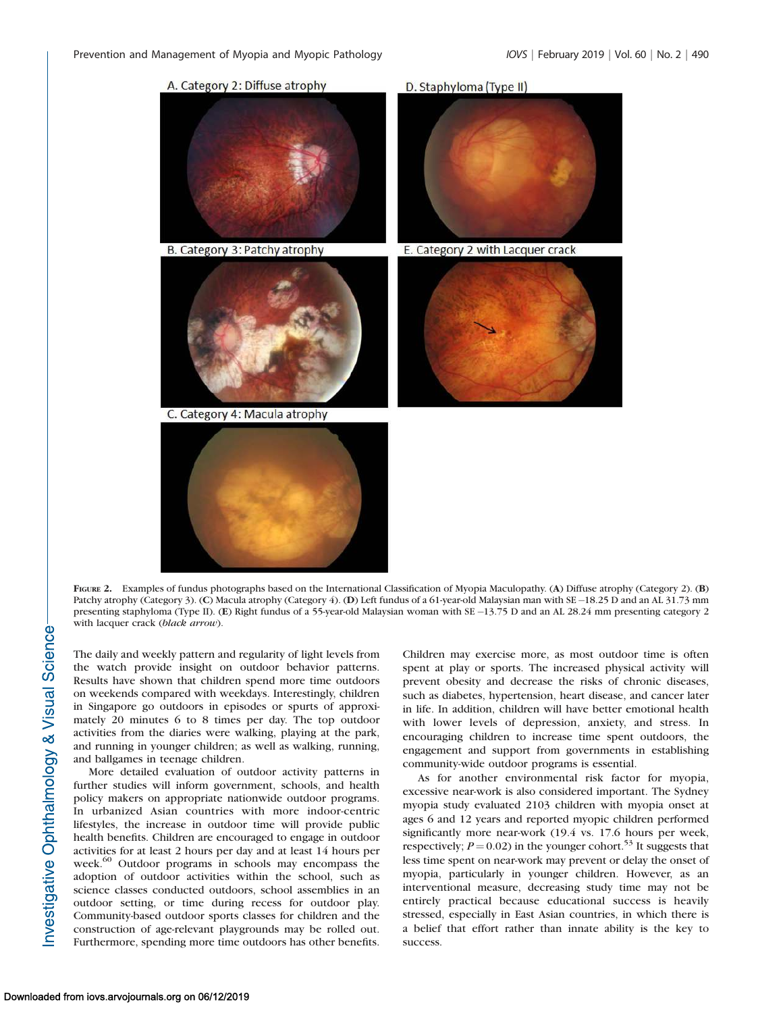A. Category 2: Diffuse atrophy D. Staphyloma (Type II) B. Category 3: Patchy atrophy E. Category 2 with Lacquer crack C. Category 4: Macula atrophy

FIGURE 2. Examples of fundus photographs based on the International Classification of Myopia Maculopathy. (A) Diffuse atrophy (Category 2). (B) Patchy atrophy (Category 3). (C) Macula atrophy (Category 4). (D) Left fundus of a 61-year-old Malaysian man with SE-18.25 D and an AL 31.73 mm presenting staphyloma (Type II). (E) Right fundus of a 55-year-old Malaysian woman with SE -13.75 D and an AL 28.24 mm presenting category 2 with lacquer crack (black arrow).

The daily and weekly pattern and regularity of light levels from the watch provide insight on outdoor behavior patterns. Results have shown that children spend more time outdoors on weekends compared with weekdays. Interestingly, children in Singapore go outdoors in episodes or spurts of approximately 20 minutes 6 to 8 times per day. The top outdoor activities from the diaries were walking, playing at the park, and running in younger children; as well as walking, running, and ballgames in teenage children.

More detailed evaluation of outdoor activity patterns in further studies will inform government, schools, and health policy makers on appropriate nationwide outdoor programs. In urbanized Asian countries with more indoor-centric lifestyles, the increase in outdoor time will provide public health benefits. Children are encouraged to engage in outdoor activities for at least 2 hours per day and at least 14 hours per week.<sup>60</sup> Outdoor programs in schools may encompass the adoption of outdoor activities within the school, such as science classes conducted outdoors, school assemblies in an outdoor setting, or time during recess for outdoor play. Community-based outdoor sports classes for children and the construction of age-relevant playgrounds may be rolled out. Furthermore, spending more time outdoors has other benefits.

Children may exercise more, as most outdoor time is often spent at play or sports. The increased physical activity will prevent obesity and decrease the risks of chronic diseases, such as diabetes, hypertension, heart disease, and cancer later in life. In addition, children will have better emotional health with lower levels of depression, anxiety, and stress. In encouraging children to increase time spent outdoors, the engagement and support from governments in establishing community-wide outdoor programs is essential.

As for another environmental risk factor for myopia, excessive near-work is also considered important. The Sydney myopia study evaluated 2103 children with myopia onset at ages 6 and 12 years and reported myopic children performed significantly more near-work (19.4 vs. 17.6 hours per week, respectively;  $P = 0.02$ ) in the younger cohort.<sup>53</sup> It suggests that less time spent on near-work may prevent or delay the onset of myopia, particularly in younger children. However, as an interventional measure, decreasing study time may not be entirely practical because educational success is heavily stressed, especially in East Asian countries, in which there is a belief that effort rather than innate ability is the key to success.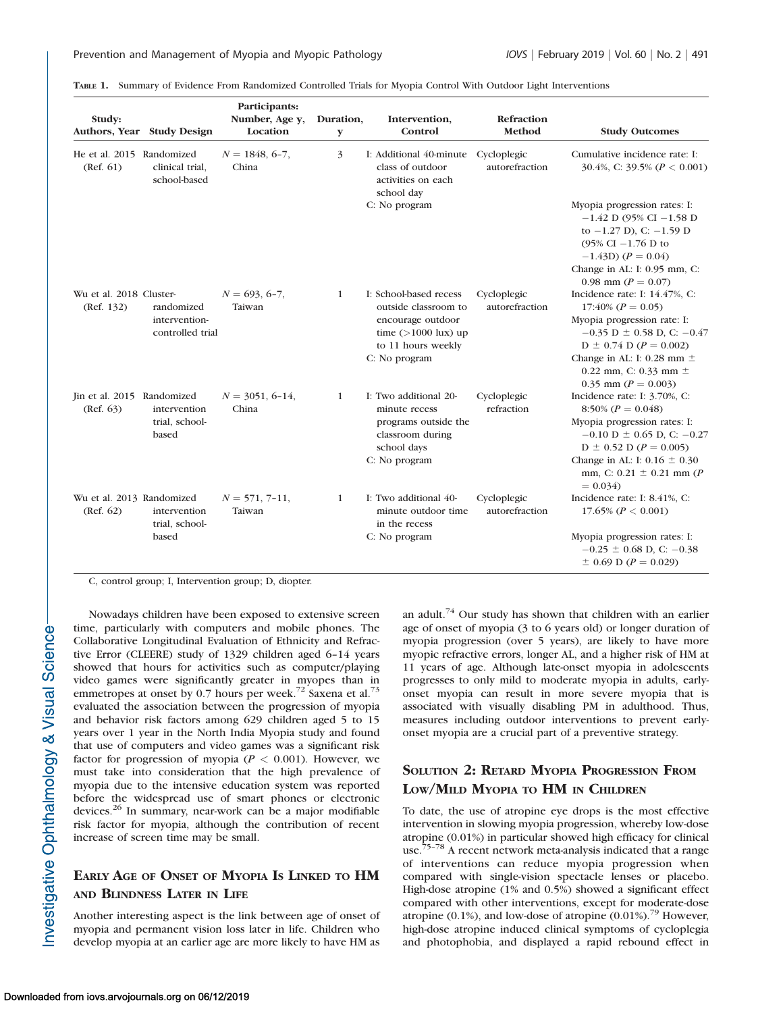|  |  | TABLE 1. Summary of Evidence From Randomized Controlled Trials for Myopia Control With Outdoor Light Interventions |
|--|--|--------------------------------------------------------------------------------------------------------------------|
|  |  |                                                                                                                    |

| Study:                                  | Authors, Year Study Design                      | Participants:<br>Number, Age y,<br>Location | Duration,<br>У | Intervention,<br>Control                                                                                                                    | Refraction<br>Method          | <b>Study Outcomes</b>                                                                                                                                                                                                                                      |
|-----------------------------------------|-------------------------------------------------|---------------------------------------------|----------------|---------------------------------------------------------------------------------------------------------------------------------------------|-------------------------------|------------------------------------------------------------------------------------------------------------------------------------------------------------------------------------------------------------------------------------------------------------|
| He et al. 2015 Randomized<br>(Ref. 61)  | clinical trial,<br>school-based                 | $N = 1848, 6-7,$<br>China                   | 3              | I: Additional 40-minute Cycloplegic<br>class of outdoor<br>activities on each<br>school day                                                 | autorefraction                | Cumulative incidence rate: I:<br>30.4%, C: 39.5% ( $P < 0.001$ )                                                                                                                                                                                           |
|                                         |                                                 |                                             |                | C: No program                                                                                                                               |                               | Myopia progression rates: I:<br>$-1.42$ D (95% CI $-1.58$ D<br>to $-1.27$ D), C: $-1.59$ D<br>(95% CI $-1.76$ D to<br>$-1.43D$ ( $P = 0.04$ )<br>Change in AL: I: 0.95 mm, C:<br>0.98 mm ( $P = 0.07$ )                                                    |
| Wu et al. 2018 Cluster-<br>(Ref. 132)   | randomized<br>intervention-<br>controlled trial | $N = 693, 6-7,$<br>Taiwan                   | 1              | I: School-based recess<br>outside classroom to<br>encourage outdoor<br>time $(>1000 \text{ lux})$ up<br>to 11 hours weekly<br>C: No program | Cycloplegic<br>autorefraction | Incidence rate: I: 14.47%, C:<br>$17:40\%$ ( $P = 0.05$ )<br>Myopia progression rate: I:<br>$-0.35$ D $\pm$ 0.58 D, C: $-0.47$<br>$D \pm 0.74$ D ( $P = 0.002$ )<br>Change in AL: I: 0.28 mm $\pm$<br>0.22 mm, C: 0.33 mm $\pm$<br>0.35 mm ( $P = 0.003$ ) |
| Jin et al. 2015 Randomized<br>(Ref. 63) | intervention<br>trial, school-<br>based         | $N = 3051, 6-14,$<br>China                  | $\mathbf{1}$   | I: Two additional 20-<br>minute recess<br>programs outside the<br>classroom during<br>school days<br>C: No program                          | Cycloplegic<br>refraction     | Incidence rate: I: 3.70%, C:<br>8:50% ( $P = 0.048$ )<br>Myopia progression rates: I:<br>$-0.10$ D $\pm$ 0.65 D, C: $-0.27$<br>$D \pm 0.52$ D ( $P = 0.005$ )<br>Change in AL: I: $0.16 \pm 0.30$<br>mm, C: $0.21 \pm 0.21$ mm (P)<br>$= 0.034$            |
| Wu et al. 2013 Randomized<br>(Ref. 62)  | intervention<br>trial, school-<br>based         | $N = 571, 7-11,$<br>Taiwan                  | $\mathbf{1}$   | I: Two additional 40-<br>minute outdoor time<br>in the recess<br>C: No program                                                              | Cycloplegic<br>autorefraction | Incidence rate: I: 8.41%, C:<br>17.65% ( $P < 0.001$ )<br>Myopia progression rates: I:<br>$-0.25 \pm 0.68$ D, C: $-0.38$<br>$\pm$ 0.69 D (P = 0.029)                                                                                                       |

C, control group; I, Intervention group; D, diopter.

Nowadays children have been exposed to extensive screen time, particularly with computers and mobile phones. The Collaborative Longitudinal Evaluation of Ethnicity and Refractive Error (CLEERE) study of 1329 children aged 6–14 years showed that hours for activities such as computer/playing video games were significantly greater in myopes than in emmetropes at onset by 0.7 hours per week.<sup>72</sup> Saxena et al.<sup>73</sup> evaluated the association between the progression of myopia and behavior risk factors among 629 children aged 5 to 15 years over 1 year in the North India Myopia study and found that use of computers and video games was a significant risk factor for progression of myopia ( $P < 0.001$ ). However, we must take into consideration that the high prevalence of myopia due to the intensive education system was reported before the widespread use of smart phones or electronic devices.<sup>26</sup> In summary, near-work can be a major modifiable risk factor for myopia, although the contribution of recent increase of screen time may be small.

# EARLY AGE OF ONSET OF MYOPIA I<sup>S</sup> LINKED TO HM AND BLINDNESS LATER IN LIFE

Another interesting aspect is the link between age of onset of myopia and permanent vision loss later in life. Children who develop myopia at an earlier age are more likely to have HM as

an adult.<sup>74</sup> Our study has shown that children with an earlier age of onset of myopia (3 to 6 years old) or longer duration of myopia progression (over 5 years), are likely to have more myopic refractive errors, longer AL, and a higher risk of HM at 11 years of age. Although late-onset myopia in adolescents progresses to only mild to moderate myopia in adults, earlyonset myopia can result in more severe myopia that is associated with visually disabling PM in adulthood. Thus, measures including outdoor interventions to prevent earlyonset myopia are a crucial part of a preventive strategy.

## SOLUTION 2: RETARD MYOPIA PROGRESSION FROM LOW/MILD MYOPIA TO HM IN CHILDREN

To date, the use of atropine eye drops is the most effective intervention in slowing myopia progression, whereby low-dose atropine (0.01%) in particular showed high efficacy for clinical use.<sup>75-78</sup> A recent network meta-analysis indicated that a range of interventions can reduce myopia progression when compared with single-vision spectacle lenses or placebo. High-dose atropine (1% and 0.5%) showed a significant effect compared with other interventions, except for moderate-dose atropine (0.1%), and low-dose of atropine (0.01%).<sup>79</sup> However, high-dose atropine induced clinical symptoms of cycloplegia and photophobia, and displayed a rapid rebound effect in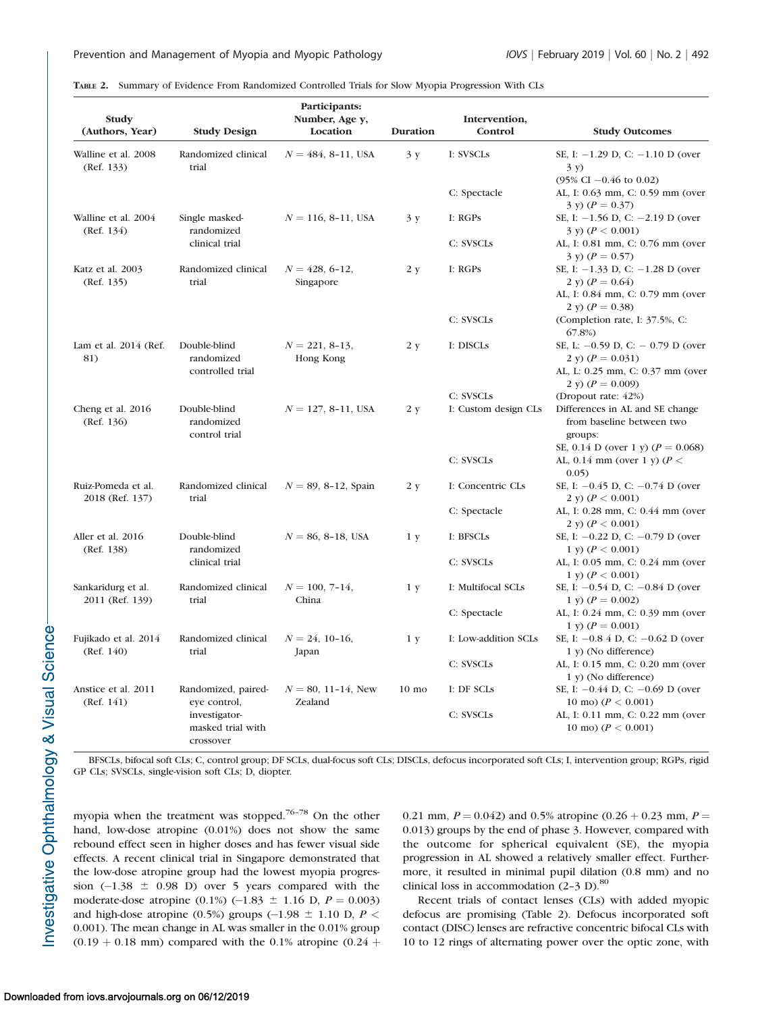TABLE 2. Summary of Evidence From Randomized Controlled Trials for Slow Myopia Progression With CLs

| Study<br>(Authors, Year)              | <b>Study Design</b>                                                                    | Participants:<br>Number, Age y,<br>Location | Duration        | Intervention,<br>Control | <b>Study Outcomes</b>                                                                                              |
|---------------------------------------|----------------------------------------------------------------------------------------|---------------------------------------------|-----------------|--------------------------|--------------------------------------------------------------------------------------------------------------------|
| Walline et al. 2008<br>(Ref. 133)     | Randomized clinical<br>trial                                                           | $N = 484, 8-11, USA$                        | 3y              | I: SVSCLs                | SE, I: $-1.29$ D, C: $-1.10$ D (over<br>3y)                                                                        |
|                                       |                                                                                        |                                             |                 | C: Spectacle             | $(95\% \text{ CI} - 0.46 \text{ to } 0.02)$<br>AL, I: 0.63 mm, C: 0.59 mm (over<br>$3 \text{ y}$ $(P = 0.37)$      |
| Walline et al. 2004<br>(Ref. 134)     | Single masked-<br>randomized                                                           | $N = 116, 8-11, USA$                        | 3y              | I: RGPs                  | SE, I: $-1.56$ D, C: $-2.19$ D (over<br>3 y) ( $P < 0.001$ )                                                       |
|                                       | clinical trial                                                                         |                                             |                 | C: SVSCLS                | AL, I: 0.81 mm, C: 0.76 mm (over<br>$(3 \text{ y}) (P = 0.57)$                                                     |
| Katz et al. 2003<br>(Ref. 135)        | Randomized clinical<br>trial                                                           | $N = 428, 6 - 12,$<br>Singapore             | 2 y             | I: RGPs                  | SE, I: $-1.33$ D, C: $-1.28$ D (over<br>2 y) $(P = 0.64)$<br>AL, I: 0.84 mm, C: 0.79 mm (over<br>2 v) $(P = 0.38)$ |
|                                       |                                                                                        |                                             |                 | C: SVSCLS                | (Completion rate, I: 37.5%, C:<br>$67.8\%$                                                                         |
| Lam et al. 2014 (Ref.<br>81)          | Double-blind<br>randomized<br>controlled trial                                         | $N = 221, 8-13,$<br>Hong Kong               | 2 y             | I: DISCLS                | SE, L: $-0.59$ D, C: $-0.79$ D (over<br>2 y) $(P = 0.031)$<br>AL, L: 0.25 mm, C: 0.37 mm (over                     |
|                                       |                                                                                        |                                             |                 | C: SVSCLs                | 2 y) $(P = 0.009)$<br>(Dropout rate: 42%)                                                                          |
| Cheng et al. 2016<br>(Ref. 136)       | Double-blind<br>randomized<br>control trial                                            | $N = 127, 8-11, USA$                        | 2 y             | I: Custom design CLs     | Differences in AL and SE change<br>from baseline between two<br>groups:<br>SE, 0.14 D (over 1 y) ( $P = 0.068$ )   |
|                                       |                                                                                        |                                             |                 | C: SVSCLs                | AL, 0.14 mm (over 1 y) ( $P <$<br>0.05)                                                                            |
| Ruiz-Pomeda et al.<br>2018 (Ref. 137) | Randomized clinical<br>trial                                                           | $N = 89, 8-12,$ Spain                       | 2 y             | I: Concentric CLs        | SE, I: $-0.45$ D, C: $-0.74$ D (over<br>2 y) ( $P < 0.001$ )                                                       |
|                                       |                                                                                        |                                             |                 | C: Spectacle             | AL, I: 0.28 mm, C: 0.44 mm (over<br>2 y) ( $P < 0.001$ )                                                           |
| Aller et al. 2016<br>(Ref. 138)       | Double-blind<br>randomized                                                             | $N = 86, 8-18,$ USA                         | 1 y             | I: BFSCLs                | SE, I: $-0.22$ D, C: $-0.79$ D (over<br>1 y) $(P < 0.001)$                                                         |
|                                       | clinical trial                                                                         |                                             |                 | C: SVSCLs                | AL, I: 0.05 mm, C: 0.24 mm (over<br>1 y) $(P < 0.001)$                                                             |
| Sankaridurg et al.<br>2011 (Ref. 139) | Randomized clinical<br>trial                                                           | $N = 100, 7-14,$<br>China                   | 1 y             | I: Multifocal SCLs       | SE, I: $-0.54$ D, C: $-0.84$ D (over<br>1 y) $(P = 0.002)$                                                         |
|                                       |                                                                                        |                                             |                 | C: Spectacle             | AL, I: 0.24 mm, C: 0.39 mm (over<br>1 y) $(P = 0.001)$                                                             |
| Fujikado et al. 2014<br>(Ref. 140)    | Randomized clinical<br>trial                                                           | $N = 24$ , 10-16,<br>Japan                  | 1 y             | I: Low-addition SCLs     | SE, I: $-0.8$ 4 D, C: $-0.62$ D (over<br>$1 y)$ (No difference)                                                    |
|                                       |                                                                                        |                                             |                 | C: SVSCLs                | AL, I: 0.15 mm, C: 0.20 mm (over<br>1 y) (No difference)                                                           |
| Anstice et al. 2011<br>(Ref. 141)     | Randomized, paired-<br>eye control,<br>investigator-<br>masked trial with<br>crossover | $N = 80, 11-14, New$<br>Zealand             | $10 \text{ mo}$ | I: DF SCLS               | SE, I: $-0.44$ D, C: $-0.69$ D (over<br>10 mo) ( $P < 0.001$ )                                                     |
|                                       |                                                                                        |                                             |                 | C: SVSCLs                | AL, I: 0.11 mm, C: 0.22 mm (over<br>10 mo) ( $P < 0.001$ )                                                         |

BFSCLs, bifocal soft CLs; C, control group; DF SCLs, dual-focus soft CLs; DISCLs, defocus incorporated soft CLs; I, intervention group; RGPs, rigid GP CLs; SVSCLs, single-vision soft CLs; D, diopter.

myopia when the treatment was stopped.<sup>76-78</sup> On the other hand, low-dose atropine (0.01%) does not show the same rebound effect seen in higher doses and has fewer visual side effects. A recent clinical trial in Singapore demonstrated that the low-dose atropine group had the lowest myopia progression  $(-1.38 \pm 0.98)$  over 5 years compared with the moderate-dose atropine (0.1%) (-1.83  $\pm$  1.16 D,  $P = 0.003$ ) and high-dose atropine (0.5%) groups  $(-1.98 \pm 1.10 \text{ D}, P \leq$ 0.001). The mean change in AL was smaller in the 0.01% group  $(0.19 + 0.18$  mm) compared with the 0.1% atropine  $(0.24 +$ 

0.21 mm,  $P = 0.042$ ) and 0.5% atropine (0.26 + 0.23 mm,  $P =$ 0.013) groups by the end of phase 3. However, compared with the outcome for spherical equivalent (SE), the myopia progression in AL showed a relatively smaller effect. Furthermore, it resulted in minimal pupil dilation (0.8 mm) and no clinical loss in accommodation  $(2-3 \text{ D})$ .<sup>80</sup>

Recent trials of contact lenses (CLs) with added myopic defocus are promising (Table 2). Defocus incorporated soft contact (DISC) lenses are refractive concentric bifocal CLs with 10 to 12 rings of alternating power over the optic zone, with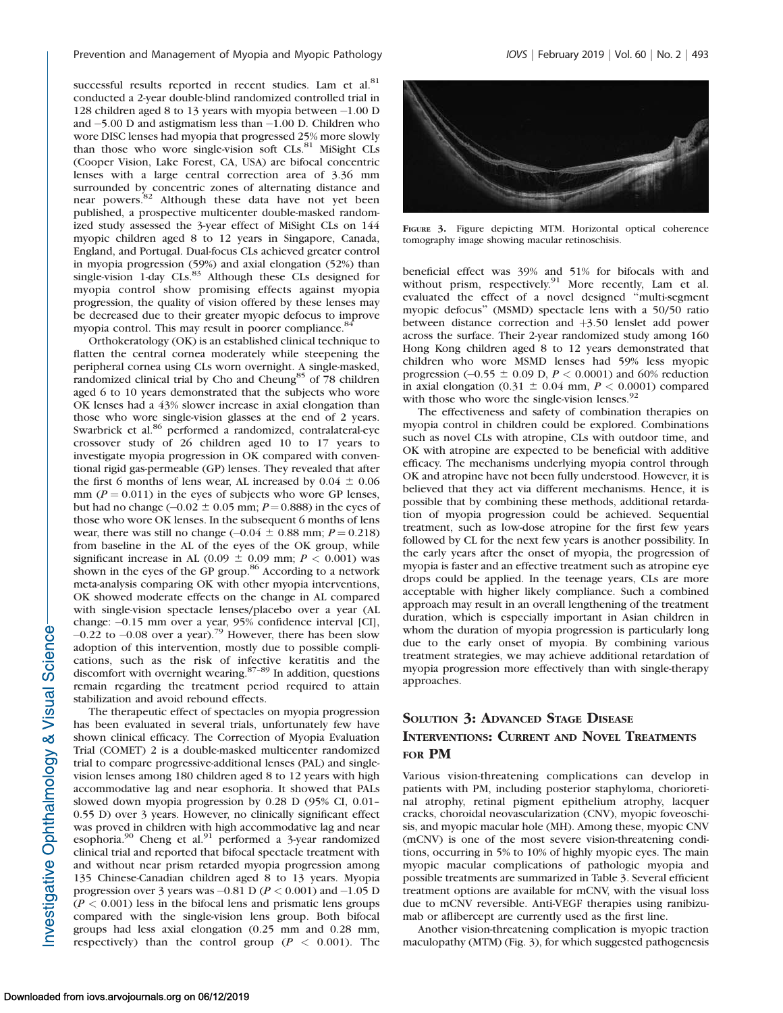successful results reported in recent studies. Lam et al.<sup>81</sup> conducted a 2-year double-blind randomized controlled trial in 128 children aged 8 to 13 years with myopia between -1.00 D and -5.00 D and astigmatism less than -1.00 D. Children who wore DISC lenses had myopia that progressed 25% more slowly than those who wore single-vision soft  $CLs$ .<sup>81</sup> MiSight  $CLs$ (Cooper Vision, Lake Forest, CA, USA) are bifocal concentric lenses with a large central correction area of 3.36 mm surrounded by concentric zones of alternating distance and<br>near powers.<sup>82</sup> Although these data have not yet been published, a prospective multicenter double-masked randomized study assessed the 3-year effect of MiSight CLs on 144 myopic children aged 8 to 12 years in Singapore, Canada, England, and Portugal. Dual-focus CLs achieved greater control in myopia progression (59%) and axial elongation (52%) than<br>single-vision 1-day CLs.<sup>83</sup> Although these CLs designed for myopia control show promising effects against myopia progression, the quality of vision offered by these lenses may be decreased due to their greater myopic defocus to improve myopia control. This may result in poorer compliance.<sup>84</sup>

Orthokeratology (OK) is an established clinical technique to flatten the central cornea moderately while steepening the peripheral cornea using CLs worn overnight. A single-masked, randomized clinical trial by Cho and Cheung<sup>85</sup> of 78 children aged 6 to 10 years demonstrated that the subjects who wore OK lenses had a 43% slower increase in axial elongation than those who wore single-vision glasses at the end of 2 years. Swarbrick et al.<sup>86</sup> performed a randomized, contralateral-eye crossover study of 26 children aged 10 to 17 years to investigate myopia progression in OK compared with conventional rigid gas-permeable (GP) lenses. They revealed that after the first 6 months of lens wear, AL increased by  $0.04 \pm 0.06$ mm ( $P = 0.011$ ) in the eyes of subjects who wore GP lenses, but had no change  $(-0.02 \pm 0.05$  mm;  $P = 0.888$ ) in the eyes of those who wore OK lenses. In the subsequent 6 months of lens wear, there was still no change  $(-0.04 \pm 0.88 \text{ mm}; P = 0.218)$ from baseline in the AL of the eyes of the OK group, while significant increase in AL (0.09  $\pm$  0.09 mm; P < 0.001) was shown in the eyes of the GP group.<sup>86</sup> According to a network meta-analysis comparing OK with other myopia interventions, OK showed moderate effects on the change in AL compared with single-vision spectacle lenses/placebo over a year (AL change: -0.15 mm over a year, 95% confidence interval [CI],  $-0.22$  to  $-0.08$  over a year).<sup>79</sup> However, there has been slow adoption of this intervention, mostly due to possible complications, such as the risk of infective keratitis and the discomfort with overnight wearing.<sup>87-89</sup> In addition, questions remain regarding the treatment period required to attain stabilization and avoid rebound effects.

The therapeutic effect of spectacles on myopia progression has been evaluated in several trials, unfortunately few have shown clinical efficacy. The Correction of Myopia Evaluation Trial (COMET) 2 is a double-masked multicenter randomized trial to compare progressive-additional lenses (PAL) and singlevision lenses among 180 children aged 8 to 12 years with high accommodative lag and near esophoria. It showed that PALs slowed down myopia progression by 0.28 D (95% CI, 0.01– 0.55 D) over 3 years. However, no clinically significant effect was proved in children with high accommodative lag and near esophoria. $90$  Cheng et al. $91$  performed a 3-year randomized clinical trial and reported that bifocal spectacle treatment with and without near prism retarded myopia progression among 135 Chinese-Canadian children aged 8 to 13 years. Myopia progression over 3 years was  $-0.81$  D ( $P < 0.001$ ) and  $-1.05$  D  $(P < 0.001)$  less in the bifocal lens and prismatic lens groups compared with the single-vision lens group. Both bifocal groups had less axial elongation (0.25 mm and 0.28 mm, respectively) than the control group ( $P < 0.001$ ). The



FIGURE 3. Figure depicting MTM. Horizontal optical coherence tomography image showing macular retinoschisis.

beneficial effect was 39% and 51% for bifocals with and without prism, respectively.<sup>91</sup> More recently, Lam et al. evaluated the effect of a novel designed ''multi-segment myopic defocus'' (MSMD) spectacle lens with a 50/50 ratio between distance correction and  $+3.50$  lenslet add power across the surface. Their 2-year randomized study among 160 Hong Kong children aged 8 to 12 years demonstrated that children who wore MSMD lenses had 59% less myopic progression (-0.55  $\pm$  0.09 D, P < 0.0001) and 60% reduction in axial elongation (0.31  $\pm$  0.04 mm, P < 0.0001) compared with those who wore the single-vision lenses. $92$ 

The effectiveness and safety of combination therapies on myopia control in children could be explored. Combinations such as novel CLs with atropine, CLs with outdoor time, and OK with atropine are expected to be beneficial with additive efficacy. The mechanisms underlying myopia control through OK and atropine have not been fully understood. However, it is believed that they act via different mechanisms. Hence, it is possible that by combining these methods, additional retardation of myopia progression could be achieved. Sequential treatment, such as low-dose atropine for the first few years followed by CL for the next few years is another possibility. In the early years after the onset of myopia, the progression of myopia is faster and an effective treatment such as atropine eye drops could be applied. In the teenage years, CLs are more acceptable with higher likely compliance. Such a combined approach may result in an overall lengthening of the treatment duration, which is especially important in Asian children in whom the duration of myopia progression is particularly long due to the early onset of myopia. By combining various treatment strategies, we may achieve additional retardation of myopia progression more effectively than with single-therapy approaches.

### SOLUTION 3: ADVANCED STAGE DISEASE INTERVENTIONS: CURRENT AND NOVEL TREATMENTS FOR PM

Various vision-threatening complications can develop in patients with PM, including posterior staphyloma, chorioretinal atrophy, retinal pigment epithelium atrophy, lacquer cracks, choroidal neovascularization (CNV), myopic foveoschisis, and myopic macular hole (MH). Among these, myopic CNV (mCNV) is one of the most severe vision-threatening conditions, occurring in 5% to 10% of highly myopic eyes. The main myopic macular complications of pathologic myopia and possible treatments are summarized in Table 3. Several efficient treatment options are available for mCNV, with the visual loss due to mCNV reversible. Anti-VEGF therapies using ranibizumab or aflibercept are currently used as the first line.

Another vision-threatening complication is myopic traction maculopathy (MTM) (Fig. 3), for which suggested pathogenesis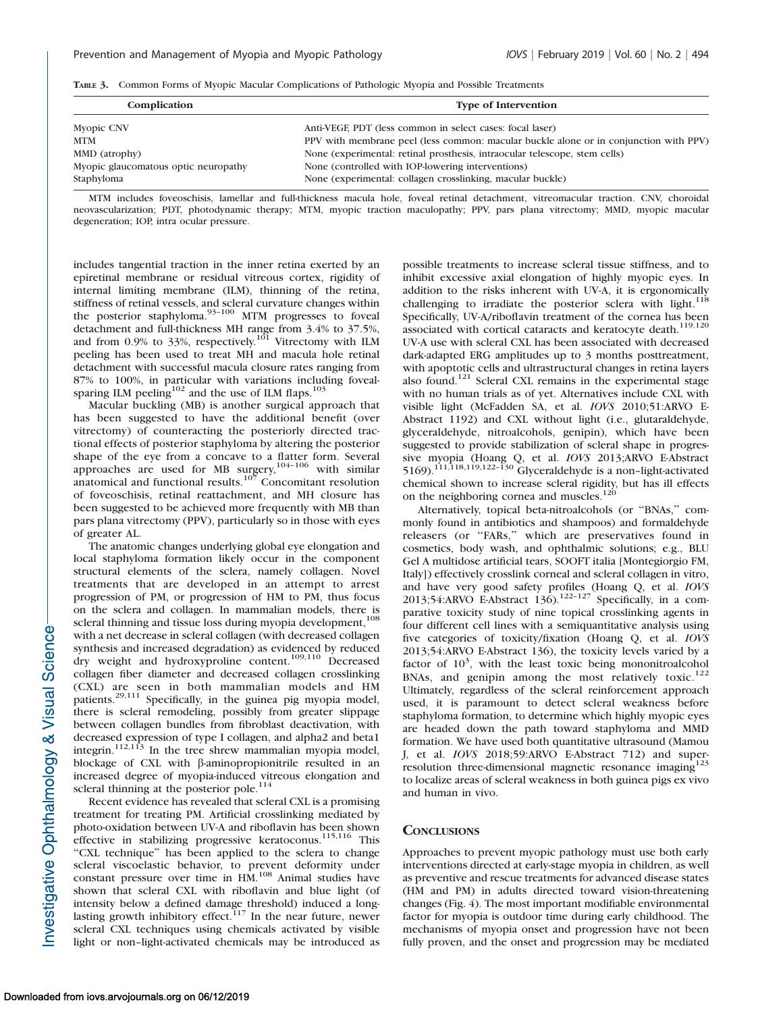|  |  | TABLE 3. Common Forms of Myopic Macular Complications of Pathologic Myopia and Possible Treatments |  |  |  |  |  |  |
|--|--|----------------------------------------------------------------------------------------------------|--|--|--|--|--|--|
|--|--|----------------------------------------------------------------------------------------------------|--|--|--|--|--|--|

| Complication                         | <b>Type of Intervention</b>                                                           |
|--------------------------------------|---------------------------------------------------------------------------------------|
| Myopic CNV                           | Anti-VEGF, PDT (less common in select cases: focal laser)                             |
| MTM                                  | PPV with membrane peel (less common: macular buckle alone or in conjunction with PPV) |
| MMD (atrophy)                        | None (experimental: retinal prosthesis, intraocular telescope, stem cells)            |
| Myopic glaucomatous optic neuropathy | None (controlled with IOP-lowering interventions)                                     |
| Staphyloma                           | None (experimental: collagen crosslinking, macular buckle)                            |

MTM includes foveoschisis, lamellar and full-thickness macula hole, foveal retinal detachment, vitreomacular traction. CNV, choroidal neovascularization; PDT, photodynamic therapy; MTM, myopic traction maculopathy; PPV, pars plana vitrectomy; MMD, myopic macular degeneration; IOP, intra ocular pressure.

includes tangential traction in the inner retina exerted by an epiretinal membrane or residual vitreous cortex, rigidity of internal limiting membrane (ILM), thinning of the retina, stiffness of retinal vessels, and scleral curvature changes within the posterior staphyloma. $93-100$  MTM progresses to foveal detachment and full-thickness MH range from 3.4% to 37.5%, and from 0.9% to 33%, respectively.<sup>101</sup> Vitrectomy with ILM peeling has been used to treat MH and macula hole retinal detachment with successful macula closure rates ranging from 87% to 100%, in particular with variations including fovealsparing ILM peeling<sup>102</sup> and the use of ILM flaps.<sup>103</sup>

Macular buckling (MB) is another surgical approach that has been suggested to have the additional benefit (over vitrectomy) of counteracting the posteriorly directed tractional effects of posterior staphyloma by altering the posterior shape of the eye from a concave to a flatter form. Several approaches are used for MB surgery,  $104-106$  with similar anatomical and functional results.<sup>107</sup> Concomitant resolution of foveoschisis, retinal reattachment, and MH closure has been suggested to be achieved more frequently with MB than pars plana vitrectomy (PPV), particularly so in those with eyes of greater AL.

The anatomic changes underlying global eye elongation and local staphyloma formation likely occur in the component structural elements of the sclera, namely collagen. Novel treatments that are developed in an attempt to arrest progression of PM, or progression of HM to PM, thus focus on the sclera and collagen. In mammalian models, there is scleral thinning and tissue loss during myopia development, $108$ with a net decrease in scleral collagen (with decreased collagen synthesis and increased degradation) as evidenced by reduced dry weight and hydroxyproline content.<sup>109,110</sup> Decreased collagen fiber diameter and decreased collagen crosslinking (CXL) are seen in both mammalian models and HM patients.29,111 Specifically, in the guinea pig myopia model, there is scleral remodeling, possibly from greater slippage between collagen bundles from fibroblast deactivation, with decreased expression of type I collagen, and alpha2 and beta1 integrin.112,113 In the tree shrew mammalian myopia model, blockage of CXL with  $\beta$ -aminopropionitrile resulted in an increased degree of myopia-induced vitreous elongation and scleral thinning at the posterior pole.<sup>114</sup>

Recent evidence has revealed that scleral CXL is a promising treatment for treating PM. Artificial crosslinking mediated by photo-oxidation between UV-A and riboflavin has been shown effective in stabilizing progressive keratoconus.115,116 This "CXL technique" has been applied to the sclera to change scleral viscoelastic behavior, to prevent deformity under constant pressure over time in HM.<sup>108</sup> Animal studies have shown that scleral CXL with riboflavin and blue light (of intensity below a defined damage threshold) induced a longlasting growth inhibitory effect.<sup>117</sup> In the near future, newer scleral CXL techniques using chemicals activated by visible light or non–light-activated chemicals may be introduced as

possible treatments to increase scleral tissue stiffness, and to inhibit excessive axial elongation of highly myopic eyes. In addition to the risks inherent with UV-A, it is ergonomically challenging to irradiate the posterior sclera with light.<sup>118</sup> Specifically, UV-A/riboflavin treatment of the cornea has been associated with cortical cataracts and keratocyte death.<sup>119,120</sup> UV-A use with scleral CXL has been associated with decreased dark-adapted ERG amplitudes up to 3 months posttreatment, with apoptotic cells and ultrastructural changes in retina layers also found.<sup>121</sup> Scleral CXL remains in the experimental stage with no human trials as of yet. Alternatives include CXL with visible light (McFadden SA, et al. IOVS 2010;51:ARVO E-Abstract 1192) and CXL without light (i.e., glutaraldehyde, glyceraldehyde, nitroalcohols, genipin), which have been suggested to provide stabilization of scleral shape in progressive myopia (Hoang Q, et al. IOVS 2013;ARVO E-Abstract 5169).111,118,119,122–130 Glyceraldehyde is a non–light-activated chemical shown to increase scleral rigidity, but has ill effects on the neighboring cornea and muscles.<sup>120</sup>

Alternatively, topical beta-nitroalcohols (or ''BNAs,'' commonly found in antibiotics and shampoos) and formaldehyde releasers (or ''FARs,'' which are preservatives found in cosmetics, body wash, and ophthalmic solutions; e.g., BLU Gel A multidose artificial tears, SOOFT italia [Montegiorgio FM, Italy]) effectively crosslink corneal and scleral collagen in vitro, and have very good safety profiles (Hoang Q, et al.  $IOVS$  2013;54:ARVO E-Abstract 136).<sup>122–127</sup> Specifically, in a comparative toxicity study of nine topical crosslinking agents in four different cell lines with a semiquantitative analysis using five categories of toxicity/fixation (Hoang Q, et al. IOVS 2013;54:ARVO E-Abstract 136), the toxicity levels varied by a factor of  $10<sup>3</sup>$ , with the least toxic being mononitroalcohol BNAs, and genipin among the most relatively toxic.<sup>122</sup> Ultimately, regardless of the scleral reinforcement approach used, it is paramount to detect scleral weakness before staphyloma formation, to determine which highly myopic eyes are headed down the path toward staphyloma and MMD formation. We have used both quantitative ultrasound (Mamou J, et al. IOVS 2018;59:ARVO E-Abstract 712) and superresolution three-dimensional magnetic resonance imaging<sup>123</sup> to localize areas of scleral weakness in both guinea pigs ex vivo and human in vivo.

#### **CONCLUSIONS**

Approaches to prevent myopic pathology must use both early interventions directed at early-stage myopia in children, as well as preventive and rescue treatments for advanced disease states (HM and PM) in adults directed toward vision-threatening changes (Fig. 4). The most important modifiable environmental factor for myopia is outdoor time during early childhood. The mechanisms of myopia onset and progression have not been fully proven, and the onset and progression may be mediated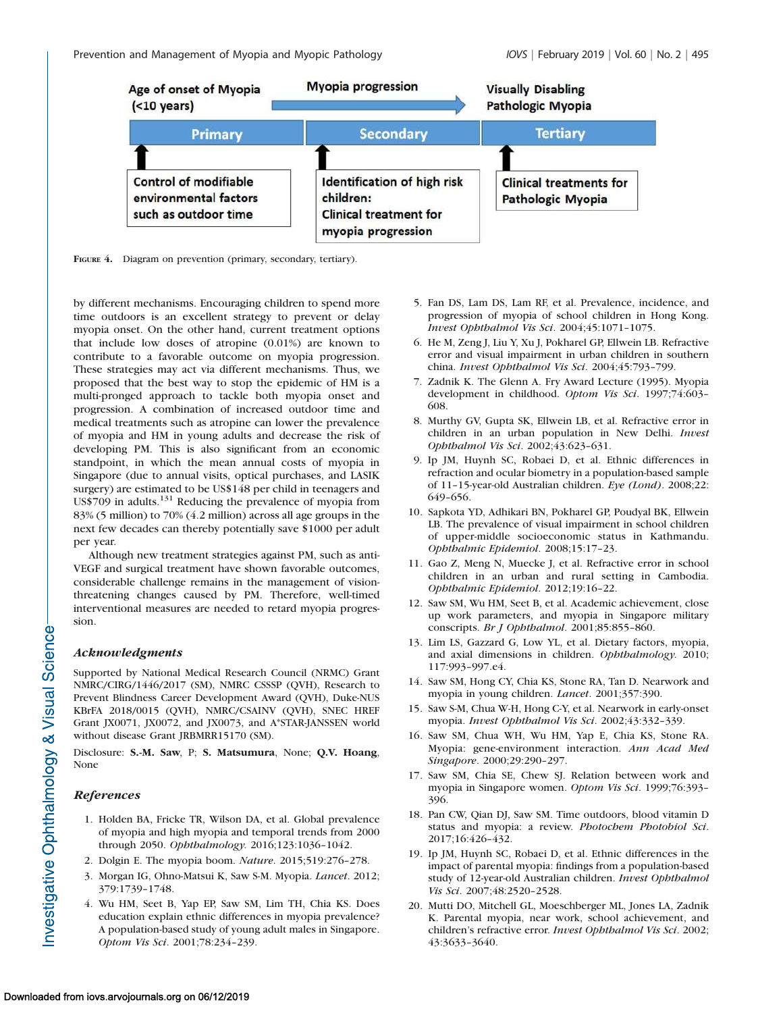

FIGURE 4. Diagram on prevention (primary, secondary, tertiary).

by different mechanisms. Encouraging children to spend more time outdoors is an excellent strategy to prevent or delay myopia onset. On the other hand, current treatment options that include low doses of atropine (0.01%) are known to contribute to a favorable outcome on myopia progression. These strategies may act via different mechanisms. Thus, we proposed that the best way to stop the epidemic of HM is a multi-pronged approach to tackle both myopia onset and progression. A combination of increased outdoor time and medical treatments such as atropine can lower the prevalence of myopia and HM in young adults and decrease the risk of developing PM. This is also significant from an economic standpoint, in which the mean annual costs of myopia in Singapore (due to annual visits, optical purchases, and LASIK surgery) are estimated to be US\$148 per child in teenagers and US\$709 in adults.<sup>131</sup> Reducing the prevalence of myopia from 83% (5 million) to 70% (4.2 million) across all age groups in the next few decades can thereby potentially save \$1000 per adult per year.

Although new treatment strategies against PM, such as anti-VEGF and surgical treatment have shown favorable outcomes, considerable challenge remains in the management of visionthreatening changes caused by PM. Therefore, well-timed interventional measures are needed to retard myopia progression.

#### Acknowledgments

Supported by National Medical Research Council (NRMC) Grant NMRC/CIRG/1446/2017 (SM), NMRC CSSSP (QVH), Research to Prevent Blindness Career Development Award (QVH), Duke-NUS KBrFA 2018/0015 (QVH), NMRC/CSAINV (QVH), SNEC HREF Grant JX0071, JX0072, and JX0073, and A\*STAR-JANSSEN world without disease Grant JRBMRR15170 (SM).

Disclosure: S.-M. Saw, P; S. Matsumura, None; Q.V. Hoang, None

#### References

- 1. Holden BA, Fricke TR, Wilson DA, et al. Global prevalence of myopia and high myopia and temporal trends from 2000 through 2050. Ophthalmology. 2016;123:1036–1042.
- 2. Dolgin E. The myopia boom. Nature. 2015;519:276–278.
- 3. Morgan IG, Ohno-Matsui K, Saw S-M. Myopia. Lancet. 2012; 379:1739–1748.
- 4. Wu HM, Seet B, Yap EP, Saw SM, Lim TH, Chia KS. Does education explain ethnic differences in myopia prevalence? A population-based study of young adult males in Singapore. Optom Vis Sci. 2001;78:234–239.
- 5. Fan DS, Lam DS, Lam RF, et al. Prevalence, incidence, and progression of myopia of school children in Hong Kong. Invest Ophthalmol Vis Sci. 2004;45:1071–1075.
- 6. He M, Zeng J, Liu Y, Xu J, Pokharel GP, Ellwein LB. Refractive error and visual impairment in urban children in southern china. Invest Ophthalmol Vis Sci. 2004;45:793–799.
- 7. Zadnik K. The Glenn A. Fry Award Lecture (1995). Myopia development in childhood. Optom Vis Sci. 1997;74:603– 608.
- 8. Murthy GV, Gupta SK, Ellwein LB, et al. Refractive error in children in an urban population in New Delhi. Invest Ophthalmol Vis Sci. 2002;43:623–631.
- 9. Ip JM, Huynh SC, Robaei D, et al. Ethnic differences in refraction and ocular biometry in a population-based sample of 11–15-year-old Australian children. Eye (Lond). 2008;22: 649–656.
- 10. Sapkota YD, Adhikari BN, Pokharel GP, Poudyal BK, Ellwein LB. The prevalence of visual impairment in school children of upper-middle socioeconomic status in Kathmandu. Ophthalmic Epidemiol. 2008;15:17–23.
- 11. Gao Z, Meng N, Muecke J, et al. Refractive error in school children in an urban and rural setting in Cambodia. Ophthalmic Epidemiol. 2012;19:16–22.
- 12. Saw SM, Wu HM, Seet B, et al. Academic achievement, close up work parameters, and myopia in Singapore military conscripts. Br J Ophthalmol. 2001;85:855-860.
- 13. Lim LS, Gazzard G, Low YL, et al. Dietary factors, myopia, and axial dimensions in children. Ophthalmology. 2010; 117:993–997.e4.
- 14. Saw SM, Hong CY, Chia KS, Stone RA, Tan D. Nearwork and myopia in young children. Lancet. 2001;357:390.
- 15. Saw S-M, Chua W-H, Hong C-Y, et al. Nearwork in early-onset myopia. Invest Ophthalmol Vis Sci. 2002;43:332–339.
- 16. Saw SM, Chua WH, Wu HM, Yap E, Chia KS, Stone RA. Myopia: gene-environment interaction. Ann Acad Med Singapore. 2000;29:290–297.
- 17. Saw SM, Chia SE, Chew SJ. Relation between work and myopia in Singapore women. Optom Vis Sci. 1999;76:393– 396.
- 18. Pan CW, Qian DJ, Saw SM. Time outdoors, blood vitamin D status and myopia: a review. Photochem Photobiol Sci. 2017;16:426–432.
- 19. Ip JM, Huynh SC, Robaei D, et al. Ethnic differences in the impact of parental myopia: findings from a population-based study of 12-year-old Australian children. Invest Ophthalmol Vis Sci. 2007;48:2520–2528.
- 20. Mutti DO, Mitchell GL, Moeschberger ML, Jones LA, Zadnik K. Parental myopia, near work, school achievement, and children's refractive error. Invest Ophthalmol Vis Sci. 2002; 43:3633–3640.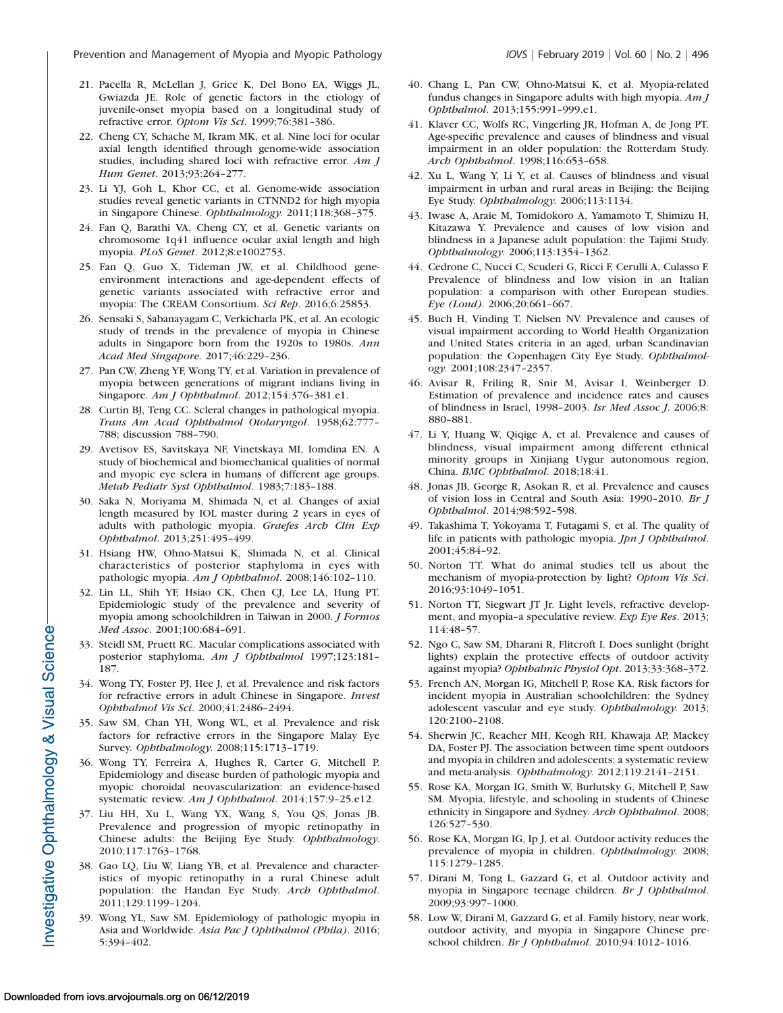- 21. Pacella R, McLellan J, Grice K, Del Bono EA, Wiggs JL, Gwiazda JE. Role of genetic factors in the etiology of juvenile-onset myopia based on a longitudinal study of refractive error. Optom Vis Sci. 1999;76:381–386.
- 22. Cheng CY, Schache M, Ikram MK, et al. Nine loci for ocular axial length identified through genome-wide association studies, including shared loci with refractive error. Am J Hum Genet. 2013;93:264–277.
- 23. Li YJ, Goh L, Khor CC, et al. Genome-wide association studies reveal genetic variants in CTNND2 for high myopia in Singapore Chinese. Ophthalmology. 2011;118:368–375.
- 24. Fan Q, Barathi VA, Cheng CY, et al. Genetic variants on chromosome 1q41 influence ocular axial length and high myopia. PLoS Genet. 2012;8:e1002753.
- 25. Fan Q, Guo X, Tideman JW, et al. Childhood geneenvironment interactions and age-dependent effects of genetic variants associated with refractive error and myopia: The CREAM Consortium. Sci Rep. 2016;6:25853.
- 26. Sensaki S, Sabanayagam C, Verkicharla PK, et al. An ecologic study of trends in the prevalence of myopia in Chinese adults in Singapore born from the 1920s to 1980s. Ann Acad Med Singapore. 2017;46:229–236.
- 27. Pan CW, Zheng YF, Wong TY, et al. Variation in prevalence of myopia between generations of migrant indians living in Singapore. Am J Ophthalmol. 2012;154:376-381.e1.
- 28. Curtin BJ, Teng CC. Scleral changes in pathological myopia. Trans Am Acad Ophthalmol Otolaryngol. 1958;62:777– 788; discussion 788–790.
- 29. Avetisov ES, Savitskaya NF, Vinetskaya MI, Iomdina EN. A study of biochemical and biomechanical qualities of normal and myopic eye sclera in humans of different age groups. Metab Pediatr Syst Ophthalmol. 1983;7:183–188.
- 30. Saka N, Moriyama M, Shimada N, et al. Changes of axial length measured by IOL master during 2 years in eyes of adults with pathologic myopia. Graefes Arch Clin Exp Ophthalmol. 2013;251:495–499.
- 31. Hsiang HW, Ohno-Matsui K, Shimada N, et al. Clinical characteristics of posterior staphyloma in eyes with pathologic myopia. Am J Ophthalmol. 2008;146:102–110.
- 32. Lin LL, Shih YF, Hsiao CK, Chen CJ, Lee LA, Hung PT. Epidemiologic study of the prevalence and severity of myopia among schoolchildren in Taiwan in 2000. J Formos Med Assoc. 2001;100:684–691.
- 33. Steidl SM, Pruett RC. Macular complications associated with posterior staphyloma. Am J Ophthalmol 1997;123:181– 187.
- 34. Wong TY, Foster PJ, Hee J, et al. Prevalence and risk factors for refractive errors in adult Chinese in Singapore. Invest Ophthalmol Vis Sci. 2000;41:2486–2494.
- 35. Saw SM, Chan YH, Wong WL, et al. Prevalence and risk factors for refractive errors in the Singapore Malay Eye Survey. Ophthalmology. 2008;115:1713–1719.
- 36. Wong TY, Ferreira A, Hughes R, Carter G, Mitchell P. Epidemiology and disease burden of pathologic myopia and myopic choroidal neovascularization: an evidence-based systematic review. Am J Ophthalmol. 2014;157:9-25.e12.
- 37. Liu HH, Xu L, Wang YX, Wang S, You QS, Jonas JB. Prevalence and progression of myopic retinopathy in Chinese adults: the Beijing Eye Study. Ophthalmology. 2010;117:1763–1768.
- 38. Gao LQ, Liu W, Liang YB, et al. Prevalence and characteristics of myopic retinopathy in a rural Chinese adult population: the Handan Eye Study. Arch Ophthalmol. 2011;129:1199–1204.
- 39. Wong YL, Saw SM. Epidemiology of pathologic myopia in Asia and Worldwide. Asia Pac J Ophthalmol (Phila). 2016; 5:394–402.
- 40. Chang L, Pan CW, Ohno-Matsui K, et al. Myopia-related fundus changes in Singapore adults with high myopia. Am J Ophthalmol. 2013;155:991–999.e1.
- 41. Klaver CC, Wolfs RC, Vingerling JR, Hofman A, de Jong PT. Age-specific prevalence and causes of blindness and visual impairment in an older population: the Rotterdam Study. Arch Ophthalmol. 1998;116:653–658.
- 42. Xu L, Wang Y, Li Y, et al. Causes of blindness and visual impairment in urban and rural areas in Beijing: the Beijing Eye Study. Ophthalmology. 2006;113:1134.
- 43. Iwase A, Araie M, Tomidokoro A, Yamamoto T, Shimizu H, Kitazawa Y. Prevalence and causes of low vision and blindness in a Japanese adult population: the Tajimi Study. Ophthalmology. 2006;113:1354–1362.
- 44. Cedrone C, Nucci C, Scuderi G, Ricci F, Cerulli A, Culasso F. Prevalence of blindness and low vision in an Italian population: a comparison with other European studies. Eye (Lond). 2006;20:661–667.
- 45. Buch H, Vinding T, Nielsen NV. Prevalence and causes of visual impairment according to World Health Organization and United States criteria in an aged, urban Scandinavian population: the Copenhagen City Eye Study. Ophthalmology. 2001;108:2347–2357.
- 46. Avisar R, Friling R, Snir M, Avisar I, Weinberger D. Estimation of prevalence and incidence rates and causes of blindness in Israel, 1998–2003. Isr Med Assoc J. 2006;8: 880–881.
- 47. Li Y, Huang W, Qiqige A, et al. Prevalence and causes of blindness, visual impairment among different ethnical minority groups in Xinjiang Uygur autonomous region, China. BMC Ophthalmol. 2018;18:41.
- 48. Jonas JB, George R, Asokan R, et al. Prevalence and causes of vision loss in Central and South Asia: 1990–2010. Br J Ophthalmol. 2014;98:592–598.
- 49. Takashima T, Yokoyama T, Futagami S, et al. The quality of life in patients with pathologic myopia. Jpn J Ophthalmol. 2001;45:84–92.
- 50. Norton TT. What do animal studies tell us about the mechanism of myopia-protection by light? Optom Vis Sci. 2016;93:1049–1051.
- 51. Norton TT, Siegwart JT Jr. Light levels, refractive development, and myopia–a speculative review. Exp Eye Res. 2013; 114:48–57.
- 52. Ngo C, Saw SM, Dharani R, Flitcroft I. Does sunlight (bright lights) explain the protective effects of outdoor activity against myopia? Ophthalmic Physiol Opt. 2013;33:368–372.
- 53. French AN, Morgan IG, Mitchell P, Rose KA. Risk factors for incident myopia in Australian schoolchildren: the Sydney adolescent vascular and eye study. Ophthalmology. 2013; 120:2100–2108.
- 54. Sherwin JC, Reacher MH, Keogh RH, Khawaja AP, Mackey DA, Foster PJ. The association between time spent outdoors and myopia in children and adolescents: a systematic review and meta-analysis. Ophthalmology. 2012;119:2141–2151.
- 55. Rose KA, Morgan IG, Smith W, Burlutsky G, Mitchell P, Saw SM. Myopia, lifestyle, and schooling in students of Chinese ethnicity in Singapore and Sydney. Arch Ophthalmol. 2008; 126:527–530.
- 56. Rose KA, Morgan IG, Ip J, et al. Outdoor activity reduces the prevalence of myopia in children. Ophthalmology. 2008; 115:1279–1285.
- 57. Dirani M, Tong L, Gazzard G, et al. Outdoor activity and myopia in Singapore teenage children. Br J Ophthalmol. 2009;93:997–1000.
- 58. Low W, Dirani M, Gazzard G, et al. Family history, near work, outdoor activity, and myopia in Singapore Chinese preschool children. Br J Ophthalmol. 2010;94:1012–1016.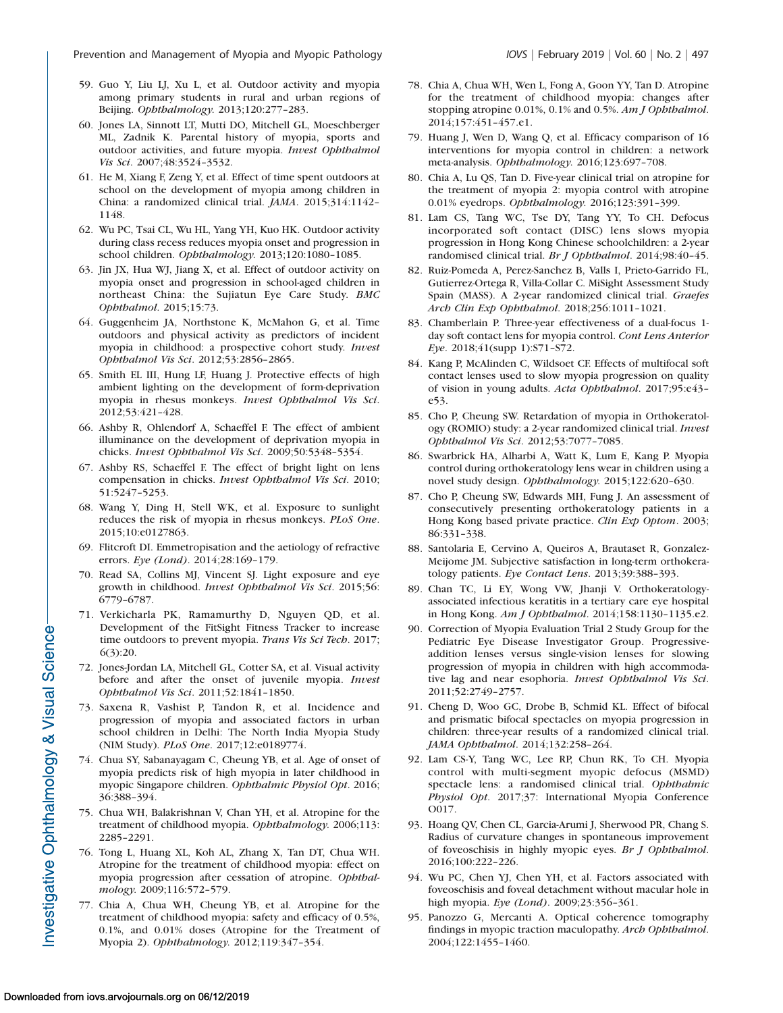- 59. Guo Y, Liu LJ, Xu L, et al. Outdoor activity and myopia among primary students in rural and urban regions of Beijing. Ophthalmology. 2013;120:277–283.
- 60. Jones LA, Sinnott LT, Mutti DO, Mitchell GL, Moeschberger ML, Zadnik K. Parental history of myopia, sports and outdoor activities, and future myopia. Invest Ophthalmol Vis Sci. 2007;48:3524–3532.
- 61. He M, Xiang F, Zeng Y, et al. Effect of time spent outdoors at school on the development of myopia among children in China: a randomized clinical trial. JAMA. 2015;314:1142– 1148.
- 62. Wu PC, Tsai CL, Wu HL, Yang YH, Kuo HK. Outdoor activity during class recess reduces myopia onset and progression in school children. Ophthalmology. 2013;120:1080-1085.
- 63. Jin JX, Hua WJ, Jiang X, et al. Effect of outdoor activity on myopia onset and progression in school-aged children in northeast China: the Sujiatun Eye Care Study. BMC Ophthalmol. 2015;15:73.
- 64. Guggenheim JA, Northstone K, McMahon G, et al. Time outdoors and physical activity as predictors of incident myopia in childhood: a prospective cohort study. Invest Ophthalmol Vis Sci. 2012;53:2856–2865.
- 65. Smith EL III, Hung LF, Huang J. Protective effects of high ambient lighting on the development of form-deprivation myopia in rhesus monkeys. Invest Ophthalmol Vis Sci. 2012;53:421–428.
- 66. Ashby R, Ohlendorf A, Schaeffel F. The effect of ambient illuminance on the development of deprivation myopia in chicks. Invest Ophthalmol Vis Sci. 2009;50:5348–5354.
- 67. Ashby RS, Schaeffel F. The effect of bright light on lens compensation in chicks. Invest Ophthalmol Vis Sci. 2010; 51:5247–5253.
- 68. Wang Y, Ding H, Stell WK, et al. Exposure to sunlight reduces the risk of myopia in rhesus monkeys. PLoS One. 2015;10:e0127863.
- 69. Flitcroft DI. Emmetropisation and the aetiology of refractive errors. Eye (Lond). 2014;28:169–179.
- 70. Read SA, Collins MJ, Vincent SJ. Light exposure and eye growth in childhood. Invest Ophthalmol Vis Sci. 2015;56: 6779–6787.
- 71. Verkicharla PK, Ramamurthy D, Nguyen QD, et al. Development of the FitSight Fitness Tracker to increase time outdoors to prevent myopia. Trans Vis Sci Tech. 2017; 6(3):20.
- 72. Jones-Jordan LA, Mitchell GL, Cotter SA, et al. Visual activity before and after the onset of juvenile myopia. Invest Ophthalmol Vis Sci. 2011;52:1841–1850.
- 73. Saxena R, Vashist P, Tandon R, et al. Incidence and progression of myopia and associated factors in urban school children in Delhi: The North India Myopia Study (NIM Study). PLoS One. 2017;12:e0189774.
- 74. Chua SY, Sabanayagam C, Cheung YB, et al. Age of onset of myopia predicts risk of high myopia in later childhood in myopic Singapore children. Ophthalmic Physiol Opt. 2016; 36:388–394.
- 75. Chua WH, Balakrishnan V, Chan YH, et al. Atropine for the treatment of childhood myopia. Ophthalmology. 2006;113: 2285–2291.
- 76. Tong L, Huang XL, Koh AL, Zhang X, Tan DT, Chua WH. Atropine for the treatment of childhood myopia: effect on myopia progression after cessation of atropine. Ophthalmology. 2009;116:572–579.
- 77. Chia A, Chua WH, Cheung YB, et al. Atropine for the treatment of childhood myopia: safety and efficacy of 0.5%, 0.1%, and 0.01% doses (Atropine for the Treatment of Myopia 2). Ophthalmology. 2012;119:347–354.
- 78. Chia A, Chua WH, Wen L, Fong A, Goon YY, Tan D. Atropine for the treatment of childhood myopia: changes after stopping atropine 0.01%, 0.1% and 0.5%. Am J Ophthalmol. 2014;157:451–457.e1.
- 79. Huang J, Wen D, Wang Q, et al. Efficacy comparison of 16 interventions for myopia control in children: a network meta-analysis. Ophthalmology. 2016;123:697–708.
- 80. Chia A, Lu QS, Tan D. Five-year clinical trial on atropine for the treatment of myopia 2: myopia control with atropine 0.01% eyedrops. Ophthalmology. 2016;123:391–399.
- 81. Lam CS, Tang WC, Tse DY, Tang YY, To CH. Defocus incorporated soft contact (DISC) lens slows myopia progression in Hong Kong Chinese schoolchildren: a 2-year randomised clinical trial. Br J Ophthalmol. 2014;98:40–45.
- 82. Ruiz-Pomeda A, Perez-Sanchez B, Valls I, Prieto-Garrido FL, Gutierrez-Ortega R, Villa-Collar C. MiSight Assessment Study Spain (MASS). A 2-year randomized clinical trial. Graefes Arch Clin Exp Ophthalmol. 2018;256:1011–1021.
- 83. Chamberlain P. Three-year effectiveness of a dual-focus 1 day soft contact lens for myopia control. Cont Lens Anterior Eye. 2018;41(supp 1):S71–S72.
- 84. Kang P, McAlinden C, Wildsoet CF. Effects of multifocal soft contact lenses used to slow myopia progression on quality of vision in young adults. Acta Ophthalmol. 2017;95:e43– e53.
- 85. Cho P, Cheung SW. Retardation of myopia in Orthokeratology (ROMIO) study: a 2-year randomized clinical trial. Invest Ophthalmol Vis Sci. 2012;53:7077–7085.
- 86. Swarbrick HA, Alharbi A, Watt K, Lum E, Kang P. Myopia control during orthokeratology lens wear in children using a novel study design. Ophthalmology. 2015;122:620–630.
- 87. Cho P, Cheung SW, Edwards MH, Fung J. An assessment of consecutively presenting orthokeratology patients in a Hong Kong based private practice. Clin Exp Optom. 2003; 86:331–338.
- 88. Santolaria E, Cervino A, Queiros A, Brautaset R, Gonzalez-Meijome JM. Subjective satisfaction in long-term orthokeratology patients. Eye Contact Lens. 2013;39:388–393.
- 89. Chan TC, Li EY, Wong VW, Jhanji V. Orthokeratologyassociated infectious keratitis in a tertiary care eye hospital in Hong Kong. Am J Ophthalmol. 2014;158:1130–1135.e2.
- 90. Correction of Myopia Evaluation Trial 2 Study Group for the Pediatric Eye Disease Investigator Group. Progressiveaddition lenses versus single-vision lenses for slowing progression of myopia in children with high accommodative lag and near esophoria. Invest Ophthalmol Vis Sci. 2011;52:2749–2757.
- 91. Cheng D, Woo GC, Drobe B, Schmid KL. Effect of bifocal and prismatic bifocal spectacles on myopia progression in children: three-year results of a randomized clinical trial. JAMA Ophthalmol. 2014;132:258–264.
- 92. Lam CS-Y, Tang WC, Lee RP, Chun RK, To CH. Myopia control with multi-segment myopic defocus (MSMD) spectacle lens: a randomised clinical trial. Ophthalmic Physiol Opt. 2017;37: International Myopia Conference O017.
- 93. Hoang QV, Chen CL, Garcia-Arumi J, Sherwood PR, Chang S. Radius of curvature changes in spontaneous improvement of foveoschisis in highly myopic eyes. Br J Ophthalmol. 2016;100:222–226.
- 94. Wu PC, Chen YJ, Chen YH, et al. Factors associated with foveoschisis and foveal detachment without macular hole in high myopia. Eye (Lond). 2009;23:356–361.
- 95. Panozzo G, Mercanti A. Optical coherence tomography findings in myopic traction maculopathy. Arch Ophthalmol. 2004;122:1455–1460.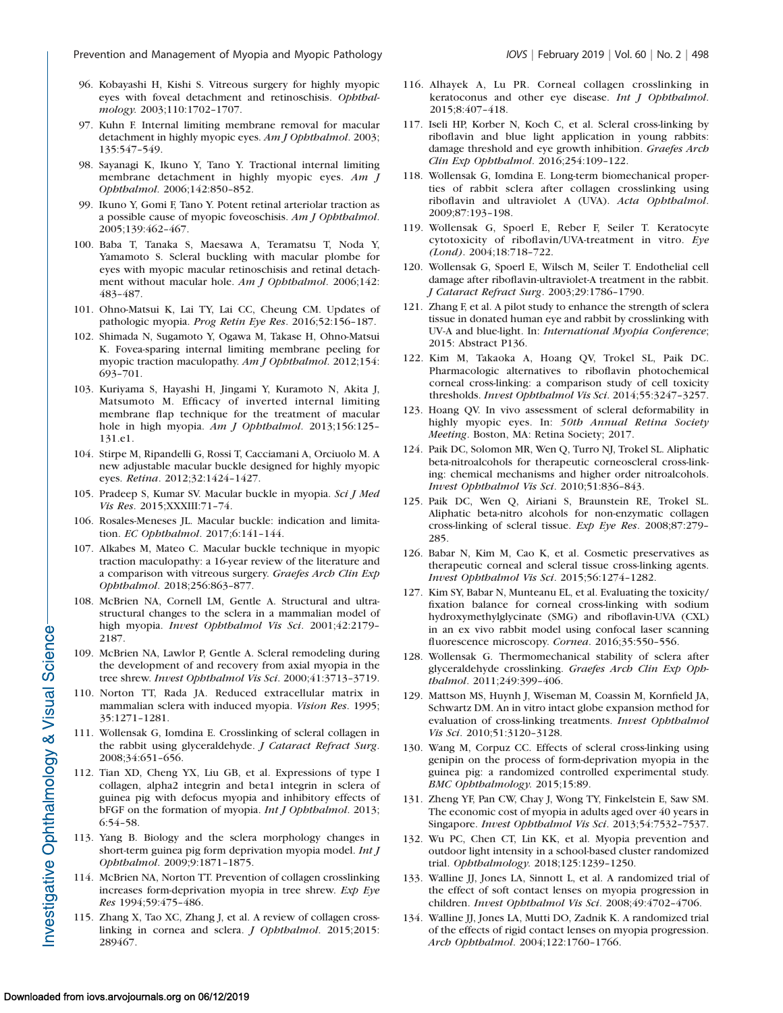- 96. Kobayashi H, Kishi S. Vitreous surgery for highly myopic eyes with foveal detachment and retinoschisis. Ophthalmology. 2003;110:1702–1707.
- 97. Kuhn F. Internal limiting membrane removal for macular detachment in highly myopic eyes. Am J Ophthalmol. 2003; 135:547–549.
- 98. Sayanagi K, Ikuno Y, Tano Y. Tractional internal limiting membrane detachment in highly myopic eyes. Am J Ophthalmol. 2006;142:850–852.
- 99. Ikuno Y, Gomi F, Tano Y. Potent retinal arteriolar traction as a possible cause of myopic foveoschisis. Am J Ophthalmol. 2005;139:462–467.
- 100. Baba T, Tanaka S, Maesawa A, Teramatsu T, Noda Y, Yamamoto S. Scleral buckling with macular plombe for eyes with myopic macular retinoschisis and retinal detachment without macular hole. Am J Ophthalmol. 2006;142: 483–487.
- 101. Ohno-Matsui K, Lai TY, Lai CC, Cheung CM. Updates of pathologic myopia. Prog Retin Eye Res. 2016;52:156–187.
- 102. Shimada N, Sugamoto Y, Ogawa M, Takase H, Ohno-Matsui K. Fovea-sparing internal limiting membrane peeling for myopic traction maculopathy. Am J Ophthalmol. 2012;154: 693–701.
- 103. Kuriyama S, Hayashi H, Jingami Y, Kuramoto N, Akita J, Matsumoto M. Efficacy of inverted internal limiting membrane flap technique for the treatment of macular hole in high myopia. Am J Ophthalmol. 2013;156:125-131.e1.
- 104. Stirpe M, Ripandelli G, Rossi T, Cacciamani A, Orciuolo M. A new adjustable macular buckle designed for highly myopic eyes. Retina. 2012;32:1424–1427.
- 105. Pradeep S, Kumar SV. Macular buckle in myopia. Sci J Med Vis Res. 2015;XXXIII:71–74.
- 106. Rosales-Meneses JL. Macular buckle: indication and limitation. EC Ophthalmol. 2017;6:141–144.
- 107. Alkabes M, Mateo C. Macular buckle technique in myopic traction maculopathy: a 16-year review of the literature and a comparison with vitreous surgery. Graefes Arch Clin Exp Ophthalmol. 2018;256:863–877.
- 108. McBrien NA, Cornell LM, Gentle A. Structural and ultrastructural changes to the sclera in a mammalian model of high myopia. Invest Ophthalmol Vis Sci. 2001;42:2179– 2187.
- 109. McBrien NA, Lawlor P, Gentle A. Scleral remodeling during the development of and recovery from axial myopia in the tree shrew. Invest Ophthalmol Vis Sci. 2000;41:3713–3719.
- 110. Norton TT, Rada JA. Reduced extracellular matrix in mammalian sclera with induced myopia. Vision Res. 1995; 35:1271–1281.
- 111. Wollensak G, Iomdina E. Crosslinking of scleral collagen in the rabbit using glyceraldehyde. J Cataract Refract Surg. 2008;34:651–656.
- 112. Tian XD, Cheng YX, Liu GB, et al. Expressions of type I collagen, alpha2 integrin and beta1 integrin in sclera of guinea pig with defocus myopia and inhibitory effects of bFGF on the formation of myopia. Int J Ophthalmol. 2013; 6:54–58.
- 113. Yang B. Biology and the sclera morphology changes in short-term guinea pig form deprivation myopia model. Int J Ophthalmol. 2009;9:1871–1875.
- 114. McBrien NA, Norton TT. Prevention of collagen crosslinking increases form-deprivation myopia in tree shrew. Exp Eye Res 1994;59:475–486.
- 115. Zhang X, Tao XC, Zhang J, et al. A review of collagen crosslinking in cornea and sclera. J Ophthalmol. 2015;2015: 289467.
- 116. Alhayek A, Lu PR. Corneal collagen crosslinking in keratoconus and other eye disease. Int J Ophthalmol. 2015;8:407–418.
- 117. Iseli HP, Korber N, Koch C, et al. Scleral cross-linking by riboflavin and blue light application in young rabbits: damage threshold and eye growth inhibition. Graefes Arch Clin Exp Ophthalmol. 2016;254:109–122.
- 118. Wollensak G, Iomdina E. Long-term biomechanical properties of rabbit sclera after collagen crosslinking using riboflavin and ultraviolet A (UVA). Acta Ophthalmol. 2009;87:193–198.
- 119. Wollensak G, Spoerl E, Reber F, Seiler T. Keratocyte cytotoxicity of riboflavin/UVA-treatment in vitro. Eye (Lond). 2004;18:718–722.
- 120. Wollensak G, Spoerl E, Wilsch M, Seiler T. Endothelial cell damage after riboflavin-ultraviolet-A treatment in the rabbit. J Cataract Refract Surg. 2003;29:1786–1790.
- 121. Zhang F, et al. A pilot study to enhance the strength of sclera tissue in donated human eye and rabbit by crosslinking with UV-A and blue-light. In: International Myopia Conference; 2015: Abstract P136.
- 122. Kim M, Takaoka A, Hoang QV, Trokel SL, Paik DC. Pharmacologic alternatives to riboflavin photochemical corneal cross-linking: a comparison study of cell toxicity thresholds. Invest Ophthalmol Vis Sci. 2014;55:3247–3257.
- 123. Hoang QV. In vivo assessment of scleral deformability in highly myopic eyes. In: 50th Annual Retina Society Meeting. Boston, MA: Retina Society; 2017.
- 124. Paik DC, Solomon MR, Wen Q, Turro NJ, Trokel SL. Aliphatic beta-nitroalcohols for therapeutic corneoscleral cross-linking: chemical mechanisms and higher order nitroalcohols. Invest Ophthalmol Vis Sci. 2010;51:836–843.
- 125. Paik DC, Wen Q, Airiani S, Braunstein RE, Trokel SL. Aliphatic beta-nitro alcohols for non-enzymatic collagen cross-linking of scleral tissue. Exp Eye Res. 2008;87:279– 285.
- 126. Babar N, Kim M, Cao K, et al. Cosmetic preservatives as therapeutic corneal and scleral tissue cross-linking agents. Invest Ophthalmol Vis Sci. 2015;56:1274–1282.
- 127. Kim SY, Babar N, Munteanu EL, et al. Evaluating the toxicity/ fixation balance for corneal cross-linking with sodium hydroxymethylglycinate (SMG) and riboflavin-UVA (CXL) in an ex vivo rabbit model using confocal laser scanning fluorescence microscopy. Cornea. 2016;35:550–556.
- 128. Wollensak G. Thermomechanical stability of sclera after glyceraldehyde crosslinking. Graefes Arch Clin Exp Ophthalmol. 2011;249:399–406.
- 129. Mattson MS, Huynh J, Wiseman M, Coassin M, Kornfield JA, Schwartz DM. An in vitro intact globe expansion method for evaluation of cross-linking treatments. Invest Ophthalmol Vis Sci. 2010;51:3120–3128.
- 130. Wang M, Corpuz CC. Effects of scleral cross-linking using genipin on the process of form-deprivation myopia in the guinea pig: a randomized controlled experimental study. BMC Ophthalmology. 2015;15:89.
- 131. Zheng YF, Pan CW, Chay J, Wong TY, Finkelstein E, Saw SM. The economic cost of myopia in adults aged over 40 years in Singapore. Invest Ophthalmol Vis Sci. 2013;54:7532–7537.
- 132. Wu PC, Chen CT, Lin KK, et al. Myopia prevention and outdoor light intensity in a school-based cluster randomized trial. Ophthalmology. 2018;125:1239–1250.
- 133. Walline JJ, Jones LA, Sinnott L, et al. A randomized trial of the effect of soft contact lenses on myopia progression in children. Invest Ophthalmol Vis Sci. 2008;49:4702–4706.
- 134. Walline JJ, Jones LA, Mutti DO, Zadnik K. A randomized trial of the effects of rigid contact lenses on myopia progression. Arch Ophthalmol. 2004;122:1760–1766.

Investigative Ophthalmology & Visual Science